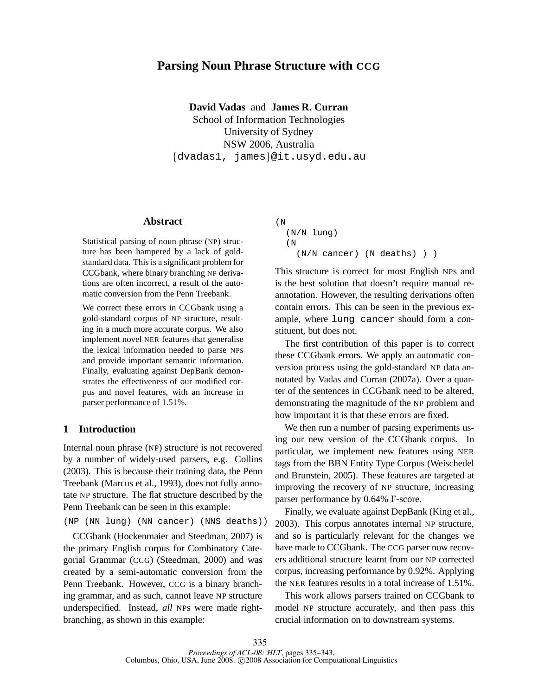# **Parsing Noun Phrase Structure with CCG**

**David Vadas** and **James R. Curran** School of Information Technologies University of Sydney NSW 2006, Australia {dvadas1, james}@it.usyd.edu.au

#### **Abstract**

Statistical parsing of noun phrase (NP) structure has been hampered by a lack of goldstandard data. This is a significant problem for CCGbank, where binary branching NP derivations are often incorrect, a result of the automatic conversion from the Penn Treebank.

We correct these errors in CCGbank using a gold-standard corpus of NP structure, resulting in a much more accurate corpus. We also implement novel NER features that generalise the lexical information needed to parse NPs and provide important semantic information. Finally, evaluating against DepBank demonstrates the effectiveness of our modified corpus and novel features, with an increase in parser performance of 1.51%.

### **1 Introduction**

Internal noun phrase (NP) structure is not recovered by a number of widely-used parsers, e.g. Collins (2003). This is because their training data, the Penn Treebank (Marcus et al., 1993), does not fully annotate NP structure. The flat structure described by the Penn Treebank can be seen in this example:

(NP (NN lung) (NN cancer) (NNS deaths))

CCGbank (Hockenmaier and Steedman, 2007) is the primary English corpus for Combinatory Categorial Grammar (CCG) (Steedman, 2000) and was created by a semi-automatic conversion from the Penn Treebank. However, CCG is a binary branching grammar, and as such, cannot leave NP structure underspecified. Instead, *all* NPs were made rightbranching, as shown in this example:

```
(N
  (N/N lung)
  (N
    (N/N cancer) (N deaths) ) )
```
This structure is correct for most English NPs and is the best solution that doesn't require manual reannotation. However, the resulting derivations often contain errors. This can be seen in the previous example, where lung cancer should form a constituent, but does not.

The first contribution of this paper is to correct these CCGbank errors. We apply an automatic conversion process using the gold-standard NP data annotated by Vadas and Curran (2007a). Over a quarter of the sentences in CCGbank need to be altered, demonstrating the magnitude of the NP problem and how important it is that these errors are fixed.

We then run a number of parsing experiments using our new version of the CCGbank corpus. In particular, we implement new features using NER tags from the BBN Entity Type Corpus (Weischedel and Brunstein, 2005). These features are targeted at improving the recovery of NP structure, increasing parser performance by 0.64% F-score.

Finally, we evaluate against DepBank (King et al., 2003). This corpus annotates internal NP structure, and so is particularly relevant for the changes we have made to CCGbank. The CCG parser now recovers additional structure learnt from our NP corrected corpus, increasing performance by 0.92%. Applying the NER features results in a total increase of 1.51%.

This work allows parsers trained on CCGbank to model NP structure accurately, and then pass this crucial information on to downstream systems.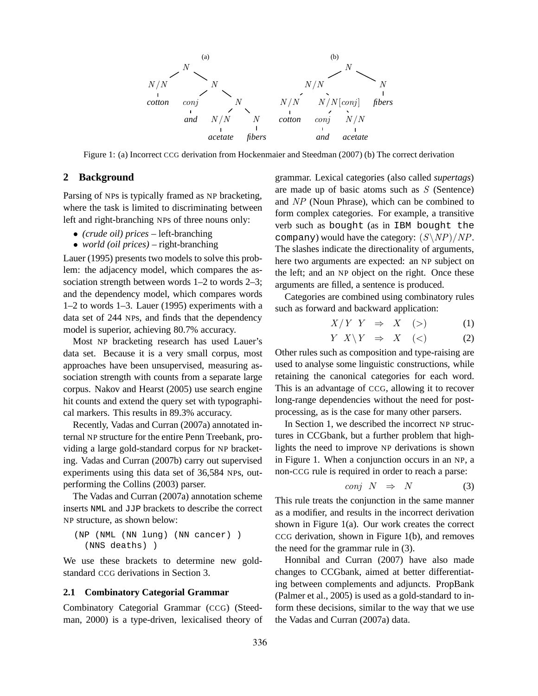

Figure 1: (a) Incorrect CCG derivation from Hockenmaier and Steedman (2007) (b) The correct derivation

## **2 Background**

Parsing of NPs is typically framed as NP bracketing, where the task is limited to discriminating between left and right-branching NPs of three nouns only:

- *(crude oil) prices* left-branching
- *world (oil prices)* right-branching

Lauer (1995) presents two models to solve this problem: the adjacency model, which compares the association strength between words 1–2 to words 2–3; and the dependency model, which compares words 1–2 to words 1–3. Lauer (1995) experiments with a data set of 244 NPs, and finds that the dependency model is superior, achieving 80.7% accuracy.

Most NP bracketing research has used Lauer's data set. Because it is a very small corpus, most approaches have been unsupervised, measuring association strength with counts from a separate large corpus. Nakov and Hearst (2005) use search engine hit counts and extend the query set with typographical markers. This results in 89.3% accuracy.

Recently, Vadas and Curran (2007a) annotated internal NP structure for the entire Penn Treebank, providing a large gold-standard corpus for NP bracketing. Vadas and Curran (2007b) carry out supervised experiments using this data set of 36,584 NPs, outperforming the Collins (2003) parser.

The Vadas and Curran (2007a) annotation scheme inserts NML and JJP brackets to describe the correct NP structure, as shown below:

(NP (NML (NN lung) (NN cancer) ) (NNS deaths) )

We use these brackets to determine new goldstandard CCG derivations in Section 3.

### **2.1 Combinatory Categorial Grammar**

Combinatory Categorial Grammar (CCG) (Steedman, 2000) is a type-driven, lexicalised theory of grammar. Lexical categories (also called *supertags*) are made up of basic atoms such as  $S$  (Sentence) and NP (Noun Phrase), which can be combined to form complex categories. For example, a transitive verb such as bought (as in IBM bought the company) would have the category:  $(S\backslash NP)/NP$ . The slashes indicate the directionality of arguments, here two arguments are expected: an NP subject on the left; and an NP object on the right. Once these arguments are filled, a sentence is produced.

Categories are combined using combinatory rules such as forward and backward application:

$$
X/Y \quad Y \quad \Rightarrow \quad X \quad (\geq) \tag{1}
$$

$$
Y \tX \setminus Y \Rightarrow X \t(<) \t(2)
$$

Other rules such as composition and type-raising are used to analyse some linguistic constructions, while retaining the canonical categories for each word. This is an advantage of CCG, allowing it to recover long-range dependencies without the need for postprocessing, as is the case for many other parsers.

In Section 1, we described the incorrect NP structures in CCGbank, but a further problem that highlights the need to improve NP derivations is shown in Figure 1. When a conjunction occurs in an NP, a non-CCG rule is required in order to reach a parse:

$$
conj \tN \Rightarrow N \t(3)
$$

This rule treats the conjunction in the same manner as a modifier, and results in the incorrect derivation shown in Figure 1(a). Our work creates the correct CCG derivation, shown in Figure 1(b), and removes the need for the grammar rule in (3).

Honnibal and Curran (2007) have also made changes to CCGbank, aimed at better differentiating between complements and adjuncts. PropBank (Palmer et al., 2005) is used as a gold-standard to inform these decisions, similar to the way that we use the Vadas and Curran (2007a) data.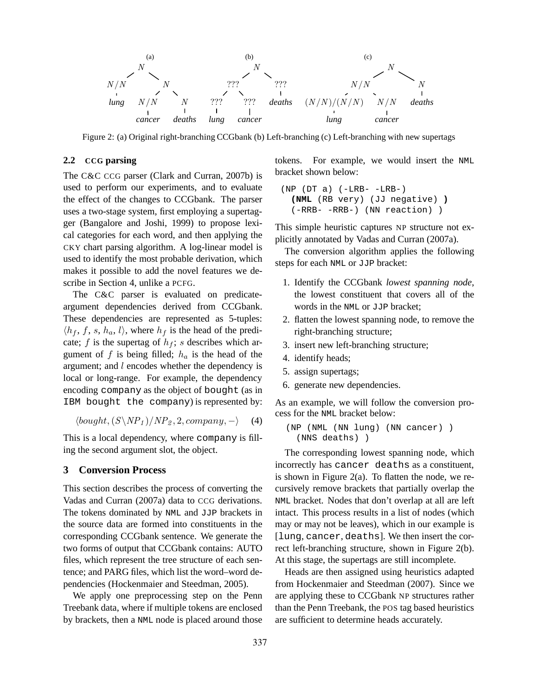

Figure 2: (a) Original right-branching CCGbank (b) Left-branching (c) Left-branching with new supertags

## **2.2 CCG parsing**

The C&C CCG parser (Clark and Curran, 2007b) is used to perform our experiments, and to evaluate the effect of the changes to CCGbank. The parser uses a two-stage system, first employing a supertagger (Bangalore and Joshi, 1999) to propose lexical categories for each word, and then applying the CKY chart parsing algorithm. A log-linear model is used to identify the most probable derivation, which makes it possible to add the novel features we describe in Section 4, unlike a PCFG.

The C&C parser is evaluated on predicateargument dependencies derived from CCGbank. These dependencies are represented as 5-tuples:  $\langle h_f, f, s, h_a, l \rangle$ , where  $h_f$  is the head of the predicate; f is the supertag of  $h_f$ ; s describes which argument of f is being filled;  $h_a$  is the head of the argument; and l encodes whether the dependency is local or long-range. For example, the dependency encoding company as the object of bought (as in IBM bought the company) is represented by:

$$
\langle bought, (S \backslash NP_1) / NP_2, 2, company, - \rangle \quad (4)
$$

This is a local dependency, where company is filling the second argument slot, the object.

## **3 Conversion Process**

This section describes the process of converting the Vadas and Curran (2007a) data to CCG derivations. The tokens dominated by NML and JJP brackets in the source data are formed into constituents in the corresponding CCGbank sentence. We generate the two forms of output that CCGbank contains: AUTO files, which represent the tree structure of each sentence; and PARG files, which list the word–word dependencies (Hockenmaier and Steedman, 2005).

We apply one preprocessing step on the Penn Treebank data, where if multiple tokens are enclosed by brackets, then a NML node is placed around those tokens. For example, we would insert the NML bracket shown below:

```
(NP (DT a) (-LRB--LRB-)(NML (RB very) (JJ negative) )
  (-RRB- -RRB-) (NN reaction) )
```
This simple heuristic captures NP structure not explicitly annotated by Vadas and Curran (2007a).

The conversion algorithm applies the following steps for each NML or JJP bracket:

- 1. Identify the CCGbank *lowest spanning node*, the lowest constituent that covers all of the words in the NML or JJP bracket;
- 2. flatten the lowest spanning node, to remove the right-branching structure;
- 3. insert new left-branching structure;
- 4. identify heads;
- 5. assign supertags;
- 6. generate new dependencies.

As an example, we will follow the conversion process for the NML bracket below:

```
(NP (NML (NN lung) (NN cancer) )
  (NNS deaths) )
```
The corresponding lowest spanning node, which incorrectly has cancer deaths as a constituent, is shown in Figure 2(a). To flatten the node, we recursively remove brackets that partially overlap the NML bracket. Nodes that don't overlap at all are left intact. This process results in a list of nodes (which may or may not be leaves), which in our example is [lung, cancer, deaths]. We then insert the correct left-branching structure, shown in Figure 2(b). At this stage, the supertags are still incomplete.

Heads are then assigned using heuristics adapted from Hockenmaier and Steedman (2007). Since we are applying these to CCGbank NP structures rather than the Penn Treebank, the POS tag based heuristics are sufficient to determine heads accurately.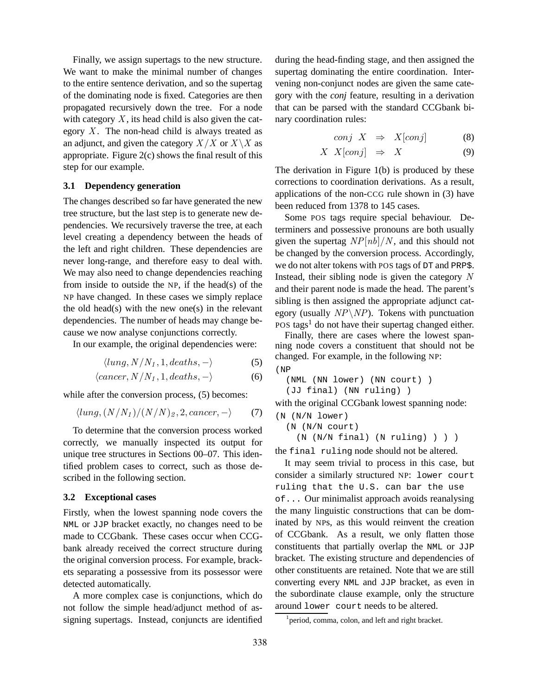Finally, we assign supertags to the new structure. We want to make the minimal number of changes to the entire sentence derivation, and so the supertag of the dominating node is fixed. Categories are then propagated recursively down the tree. For a node with category  $X$ , its head child is also given the category  $X$ . The non-head child is always treated as an adjunct, and given the category  $X/X$  or  $X\setminus X$  as appropriate. Figure 2(c) shows the final result of this step for our example.

## **3.1 Dependency generation**

The changes described so far have generated the new tree structure, but the last step is to generate new dependencies. We recursively traverse the tree, at each level creating a dependency between the heads of the left and right children. These dependencies are never long-range, and therefore easy to deal with. We may also need to change dependencies reaching from inside to outside the NP, if the head(s) of the NP have changed. In these cases we simply replace the old head(s) with the new one(s) in the relevant dependencies. The number of heads may change because we now analyse conjunctions correctly.

In our example, the original dependencies were:

$$
\langle lung, N/N_1, 1, deaths, - \rangle \tag{5}
$$

$$
\langle cancer, N/N_1, 1, deaths, - \rangle \tag{6}
$$

while after the conversion process,  $(5)$  becomes:

$$
\langle lung, (N/N_1)/(N/N)_2, 2, cancer, - \rangle \tag{7}
$$

To determine that the conversion process worked correctly, we manually inspected its output for unique tree structures in Sections 00–07. This identified problem cases to correct, such as those described in the following section.

### **3.2 Exceptional cases**

Firstly, when the lowest spanning node covers the NML or JJP bracket exactly, no changes need to be made to CCGbank. These cases occur when CCGbank already received the correct structure during the original conversion process. For example, brackets separating a possessive from its possessor were detected automatically.

A more complex case is conjunctions, which do not follow the simple head/adjunct method of assigning supertags. Instead, conjuncts are identified during the head-finding stage, and then assigned the supertag dominating the entire coordination. Intervening non-conjunct nodes are given the same category with the *conj* feature, resulting in a derivation that can be parsed with the standard CCGbank binary coordination rules:

$$
conj \tX \Rightarrow X[conj] \t(8)
$$

$$
X \t X[conj] \Rightarrow X \t(9)
$$

The derivation in Figure 1(b) is produced by these corrections to coordination derivations. As a result, applications of the non-CCG rule shown in (3) have been reduced from 1378 to 145 cases.

Some POS tags require special behaviour. Determiners and possessive pronouns are both usually given the supertag  $NP[nb]/N$ , and this should not be changed by the conversion process. Accordingly, we do not alter tokens with POS tags of DT and PRP\$. Instead, their sibling node is given the category  $N$ and their parent node is made the head. The parent's sibling is then assigned the appropriate adjunct category (usually  $NP\setminus NP$ ). Tokens with punctuation POS tags<sup>1</sup> do not have their supertag changed either.

Finally, there are cases where the lowest spanning node covers a constituent that should not be changed. For example, in the following NP: (NP

```
(NML (NN lower) (NN court) )
(JJ final) (NN ruling) )
```
with the original CCGbank lowest spanning node:

```
(N (N/N lower)
  (N (N/N court)
    (N (N/N final) (N ruling) ) ) )
```
the final ruling node should not be altered. It may seem trivial to process in this case, but consider a similarly structured NP: lower court ruling that the U.S. can bar the use of... Our minimalist approach avoids reanalysing the many linguistic constructions that can be dominated by NPs, as this would reinvent the creation of CCGbank. As a result, we only flatten those constituents that partially overlap the NML or JJP bracket. The existing structure and dependencies of other constituents are retained. Note that we are still converting every NML and JJP bracket, as even in the subordinate clause example, only the structure around lower court needs to be altered.

<sup>&</sup>lt;sup>1</sup> period, comma, colon, and left and right bracket.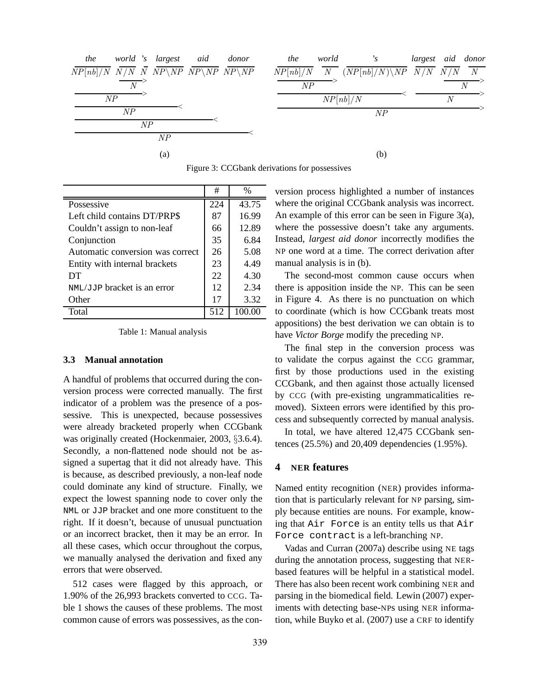| world 's largest aid<br>the<br>donor                                                                                                         | the<br>world<br>$^{\prime}$ s                            | largest aid donor |
|----------------------------------------------------------------------------------------------------------------------------------------------|----------------------------------------------------------|-------------------|
| $\overline{NP[nb]/N}$ $\overline{N/N}$ $\overline{N}$ $\overline{NP\backslash NP}$ $\overline{NP\backslash NP}$ $\overline{NP\backslash NP}$ | $\overline{NP[nb]/N}$ N $(NP[nb]/N)\$ $NP$ $N/N$ $N/N$ N |                   |
| $\overline{N}$                                                                                                                               | NP                                                       | N                 |
| NP                                                                                                                                           | NP[nb]/N                                                 | N                 |
| NP                                                                                                                                           | NP                                                       |                   |
| NP                                                                                                                                           |                                                          |                   |
| NP                                                                                                                                           |                                                          |                   |
| (a)                                                                                                                                          | (b)                                                      |                   |

| Figure 3: CCGbank derivations for possessives |  |
|-----------------------------------------------|--|
|-----------------------------------------------|--|

|                                  | #   | $\frac{0}{0}$ |
|----------------------------------|-----|---------------|
| Possessive                       | 224 | 43.75         |
| Left child contains DT/PRP\$     | 87  | 16.99         |
| Couldn't assign to non-leaf      | 66  | 12.89         |
| Conjunction                      | 35  | 6.84          |
| Automatic conversion was correct | 26  | 5.08          |
| Entity with internal brackets    | 23  | 4.49          |
| DT                               | 22  | 4.30          |
| NML/JJP bracket is an error      | 12  | 2.34          |
| Other                            | 17  | 3.32          |
| Total                            | 512 |               |

Table 1: Manual analysis

#### **3.3 Manual annotation**

A handful of problems that occurred during the conversion process were corrected manually. The first indicator of a problem was the presence of a possessive. This is unexpected, because possessives were already bracketed properly when CCGbank was originally created (Hockenmaier, 2003, §3.6.4). Secondly, a non-flattened node should not be assigned a supertag that it did not already have. This is because, as described previously, a non-leaf node could dominate any kind of structure. Finally, we expect the lowest spanning node to cover only the NML or JJP bracket and one more constituent to the right. If it doesn't, because of unusual punctuation or an incorrect bracket, then it may be an error. In all these cases, which occur throughout the corpus, we manually analysed the derivation and fixed any errors that were observed.

512 cases were flagged by this approach, or 1.90% of the 26,993 brackets converted to CCG. Table 1 shows the causes of these problems. The most common cause of errors was possessives, as the conversion process highlighted a number of instances where the original CCGbank analysis was incorrect. An example of this error can be seen in Figure 3(a), where the possessive doesn't take any arguments. Instead, *largest aid donor* incorrectly modifies the NP one word at a time. The correct derivation after manual analysis is in (b).

The second-most common cause occurs when there is apposition inside the NP. This can be seen in Figure 4. As there is no punctuation on which to coordinate (which is how CCGbank treats most appositions) the best derivation we can obtain is to have *Victor Borge* modify the preceding NP.

The final step in the conversion process was to validate the corpus against the CCG grammar, first by those productions used in the existing CCGbank, and then against those actually licensed by CCG (with pre-existing ungrammaticalities removed). Sixteen errors were identified by this process and subsequently corrected by manual analysis.

In total, we have altered 12,475 CCGbank sentences (25.5%) and 20,409 dependencies (1.95%).

#### **4 NER features**

Named entity recognition (NER) provides information that is particularly relevant for NP parsing, simply because entities are nouns. For example, knowing that Air Force is an entity tells us that Air Force contract is a left-branching NP.

Vadas and Curran (2007a) describe using NE tags during the annotation process, suggesting that NERbased features will be helpful in a statistical model. There has also been recent work combining NER and parsing in the biomedical field. Lewin (2007) experiments with detecting base-NPs using NER information, while Buyko et al. (2007) use a CRF to identify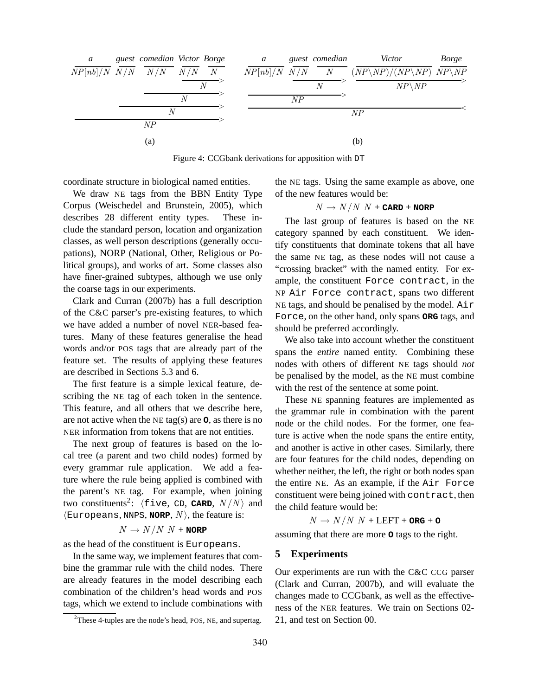

Figure 4: CCGbank derivations for apposition with DT

coordinate structure in biological named entities.

We draw NE tags from the BBN Entity Type Corpus (Weischedel and Brunstein, 2005), which describes 28 different entity types. These include the standard person, location and organization classes, as well person descriptions (generally occupations), NORP (National, Other, Religious or Political groups), and works of art. Some classes also have finer-grained subtypes, although we use only the coarse tags in our experiments.

Clark and Curran (2007b) has a full description of the C&C parser's pre-existing features, to which we have added a number of novel NER-based features. Many of these features generalise the head words and/or POS tags that are already part of the feature set. The results of applying these features are described in Sections 5.3 and 6.

The first feature is a simple lexical feature, describing the NE tag of each token in the sentence. This feature, and all others that we describe here, are not active when the NE tag(s) are **O**, as there is no NER information from tokens that are not entities.

The next group of features is based on the local tree (a parent and two child nodes) formed by every grammar rule application. We add a feature where the rule being applied is combined with the parent's NE tag. For example, when joining two constituents<sup>2</sup>:  $\langle$  five, CD, **CARD**,  $N / N$  and  $\langle$ Europeans, NNPS, **NORP**,  $N \rangle$ , the feature is:

#### $N \rightarrow N/N N +$ **NORP**

as the head of the constituent is Europeans.

In the same way, we implement features that combine the grammar rule with the child nodes. There are already features in the model describing each combination of the children's head words and POS tags, which we extend to include combinations with the NE tags. Using the same example as above, one of the new features would be:

 $N \rightarrow N/N N +$ **CARD** + **NORP** 

The last group of features is based on the NE category spanned by each constituent. We identify constituents that dominate tokens that all have the same NE tag, as these nodes will not cause a "crossing bracket" with the named entity. For example, the constituent Force contract, in the NP Air Force contract, spans two different NE tags, and should be penalised by the model. Air Force, on the other hand, only spans **ORG** tags, and should be preferred accordingly.

We also take into account whether the constituent spans the *entire* named entity. Combining these nodes with others of different NE tags should *not* be penalised by the model, as the NE must combine with the rest of the sentence at some point.

These NE spanning features are implemented as the grammar rule in combination with the parent node or the child nodes. For the former, one feature is active when the node spans the entire entity, and another is active in other cases. Similarly, there are four features for the child nodes, depending on whether neither, the left, the right or both nodes span the entire NE. As an example, if the Air Force constituent were being joined with contract, then the child feature would be:

 $N \rightarrow N/N N + \text{LEFT} + \text{ORG} + \text{O}$ 

assuming that there are more **O** tags to the right.

#### **5 Experiments**

Our experiments are run with the C&C CCG parser (Clark and Curran, 2007b), and will evaluate the changes made to CCGbank, as well as the effectiveness of the NER features. We train on Sections 02- 21, and test on Section 00.

 $2$ These 4-tuples are the node's head, POS, NE, and supertag.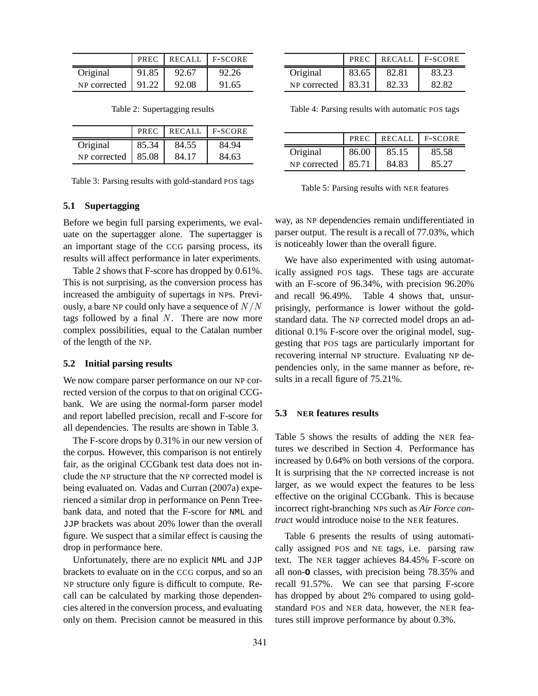|                            |       | PREC   RECALL   F-SCORE |       |
|----------------------------|-------|-------------------------|-------|
| Original                   | 91.85 | 92.67                   | 92.26 |
| NP corrected $\vert$ 91.22 |       | 92.08                   | 91.65 |

|              | <b>PREC</b> | <b>RECALL</b> | <b>F-SCORE</b> |
|--------------|-------------|---------------|----------------|
| Original     | 85.34       | 84.55         | 84.94          |
| NP corrected | 85.08       | 84.17         | 84.63          |

### **5.1 Supertagging**

Before we begin full parsing experiments, we evaluate on the supertagger alone. The supertagger is an important stage of the CCG parsing process, its results will affect performance in later experiments.

Table 2 shows that F-score has dropped by 0.61%. This is not surprising, as the conversion process has increased the ambiguity of supertags in NPs. Previously, a bare NP could only have a sequence of  $N/N$ tags followed by a final  $N$ . There are now more complex possibilities, equal to the Catalan number of the length of the NP.

### **5.2 Initial parsing results**

We now compare parser performance on our NP corrected version of the corpus to that on original CCGbank. We are using the normal-form parser model and report labelled precision, recall and F-score for all dependencies. The results are shown in Table 3.

The F-score drops by 0.31% in our new version of the corpus. However, this comparison is not entirely fair, as the original CCGbank test data does not include the NP structure that the NP corrected model is being evaluated on. Vadas and Curran (2007a) experienced a similar drop in performance on Penn Treebank data, and noted that the F-score for NML and JJP brackets was about 20% lower than the overall figure. We suspect that a similar effect is causing the drop in performance here.

Unfortunately, there are no explicit NML and JJP brackets to evaluate on in the CCG corpus, and so an NP structure only figure is difficult to compute. Recall can be calculated by marking those dependencies altered in the conversion process, and evaluating only on them. Precision cannot be measured in this

|              | PREC  | <b>RECALL</b> | I F-SCORE |
|--------------|-------|---------------|-----------|
| Original     | 83.65 | 82.81         | 83.23     |
| NP corrected | 83.31 | 82.33         | 82.82     |

Table 4: Parsing results with automatic POS tags

|              | <b>PREC</b> | <b>RECALL</b> | <b>F-SCORE</b> |
|--------------|-------------|---------------|----------------|
| Original     | 86.00       | 85.15         | 85.58          |
| NP corrected | 85.71       | 84.83         | 85.27          |

Table 5: Parsing results with NER features

way, as NP dependencies remain undifferentiated in parser output. The result is a recall of 77.03%, which is noticeably lower than the overall figure.

We have also experimented with using automatically assigned POS tags. These tags are accurate with an F-score of 96.34%, with precision 96.20% and recall 96.49%. Table 4 shows that, unsurprisingly, performance is lower without the goldstandard data. The NP corrected model drops an additional 0.1% F-score over the original model, suggesting that POS tags are particularly important for recovering internal NP structure. Evaluating NP dependencies only, in the same manner as before, results in a recall figure of 75.21%.

#### **5.3 NER features results**

Table 5 shows the results of adding the NER features we described in Section 4. Performance has increased by 0.64% on both versions of the corpora. It is surprising that the NP corrected increase is not larger, as we would expect the features to be less effective on the original CCGbank. This is because incorrect right-branching NPs such as *Air Force contract* would introduce noise to the NER features.

Table 6 presents the results of using automatically assigned POS and NE tags, i.e. parsing raw text. The NER tagger achieves 84.45% F-score on all non-**O** classes, with precision being 78.35% and recall 91.57%. We can see that parsing F-score has dropped by about 2% compared to using goldstandard POS and NER data, however, the NER features still improve performance by about 0.3%.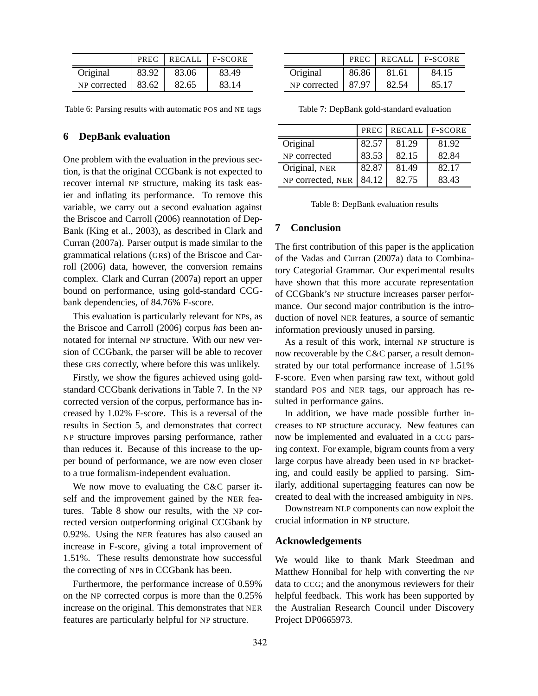|                            | PREC  | RECALL   F-SCORE |       |
|----------------------------|-------|------------------|-------|
| Original                   | 83.92 | 83.06            | 83.49 |
| NP corrected $\vert$ 83.62 |       | 82.65            | 83.14 |

Table 6: Parsing results with automatic POS and NE tags

## **6 DepBank evaluation**

One problem with the evaluation in the previous section, is that the original CCGbank is not expected to recover internal NP structure, making its task easier and inflating its performance. To remove this variable, we carry out a second evaluation against the Briscoe and Carroll (2006) reannotation of Dep-Bank (King et al., 2003), as described in Clark and Curran (2007a). Parser output is made similar to the grammatical relations (GRs) of the Briscoe and Carroll (2006) data, however, the conversion remains complex. Clark and Curran (2007a) report an upper bound on performance, using gold-standard CCGbank dependencies, of 84.76% F-score.

This evaluation is particularly relevant for NPs, as the Briscoe and Carroll (2006) corpus *has* been annotated for internal NP structure. With our new version of CCGbank, the parser will be able to recover these GRs correctly, where before this was unlikely.

Firstly, we show the figures achieved using goldstandard CCGbank derivations in Table 7. In the NP corrected version of the corpus, performance has increased by 1.02% F-score. This is a reversal of the results in Section 5, and demonstrates that correct NP structure improves parsing performance, rather than reduces it. Because of this increase to the upper bound of performance, we are now even closer to a true formalism-independent evaluation.

We now move to evaluating the C&C parser itself and the improvement gained by the NER features. Table 8 show our results, with the NP corrected version outperforming original CCGbank by 0.92%. Using the NER features has also caused an increase in F-score, giving a total improvement of 1.51%. These results demonstrate how successful the correcting of NPs in CCGbank has been.

Furthermore, the performance increase of 0.59% on the NP corrected corpus is more than the 0.25% increase on the original. This demonstrates that NER features are particularly helpful for NP structure.

|              | PREC  | RECALL | $F-SCORE$ |
|--------------|-------|--------|-----------|
| Original     | 86.86 | 81.61  | 84.15     |
| NP corrected | 87.97 | 82.54  | 85.17     |

Table 7: DepBank gold-standard evaluation

|                   | PREC  | <b>RECALL</b> | <b>F-SCORE</b> |
|-------------------|-------|---------------|----------------|
| Original          | 82.57 | 81.29         | 81.92          |
| NP corrected      | 83.53 | 82.15         | 82.84          |
| Original, NER     | 82.87 | 81.49         | 82.17          |
| NP corrected, NER | 84.12 | 82.75         | 83.43          |

Table 8: DepBank evaluation results

## **7 Conclusion**

The first contribution of this paper is the application of the Vadas and Curran (2007a) data to Combinatory Categorial Grammar. Our experimental results have shown that this more accurate representation of CCGbank's NP structure increases parser performance. Our second major contribution is the introduction of novel NER features, a source of semantic information previously unused in parsing.

As a result of this work, internal NP structure is now recoverable by the C&C parser, a result demonstrated by our total performance increase of 1.51% F-score. Even when parsing raw text, without gold standard POS and NER tags, our approach has resulted in performance gains.

In addition, we have made possible further increases to NP structure accuracy. New features can now be implemented and evaluated in a CCG parsing context. For example, bigram counts from a very large corpus have already been used in NP bracketing, and could easily be applied to parsing. Similarly, additional supertagging features can now be created to deal with the increased ambiguity in NPs.

Downstream NLP components can now exploit the crucial information in NP structure.

### **Acknowledgements**

We would like to thank Mark Steedman and Matthew Honnibal for help with converting the NP data to CCG; and the anonymous reviewers for their helpful feedback. This work has been supported by the Australian Research Council under Discovery Project DP0665973.